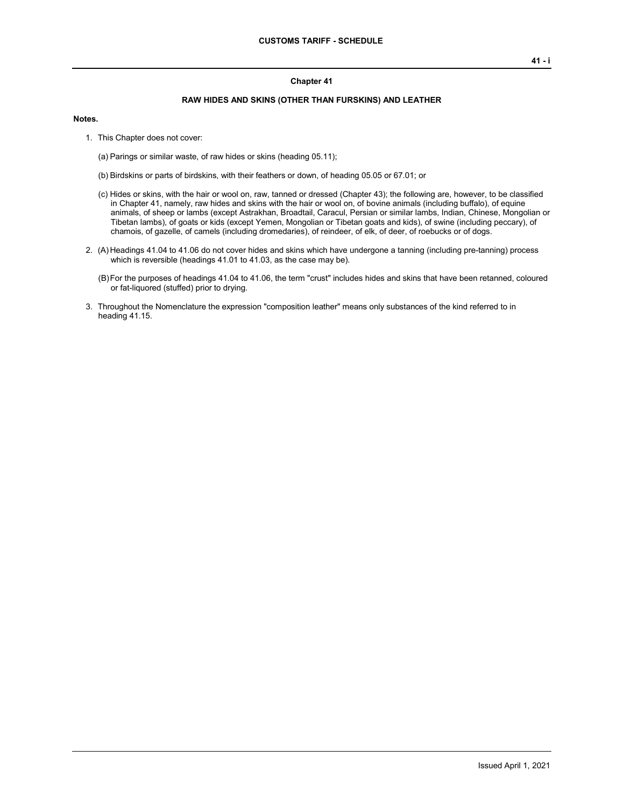## **Chapter 41**

## **RAW HIDES AND SKINS (OTHER THAN FURSKINS) AND LEATHER**

## **Notes.**

1. This Chapter does not cover:

(a) Parings or similar waste, of raw hides or skins (heading 05.11);

- (b) Birdskins or parts of birdskins, with their feathers or down, of heading 05.05 or 67.01; or
- (c) Hides or skins, with the hair or wool on, raw, tanned or dressed (Chapter 43); the following are, however, to be classified in Chapter 41, namely, raw hides and skins with the hair or wool on, of bovine animals (including buffalo), of equine animals, of sheep or lambs (except Astrakhan, Broadtail, Caracul, Persian or similar lambs, Indian, Chinese, Mongolian or Tibetan lambs), of goats or kids (except Yemen, Mongolian or Tibetan goats and kids), of swine (including peccary), of chamois, of gazelle, of camels (including dromedaries), of reindeer, of elk, of deer, of roebucks or of dogs.
- 2. (A) Headings 41.04 to 41.06 do not cover hides and skins which have undergone a tanning (including pre-tanning) process which is reversible (headings 41.01 to 41.03, as the case may be).
	- (B)For the purposes of headings 41.04 to 41.06, the term "crust" includes hides and skins that have been retanned, coloured or fat-liquored (stuffed) prior to drying.
- 3. Throughout the Nomenclature the expression "composition leather" means only substances of the kind referred to in heading 41.15.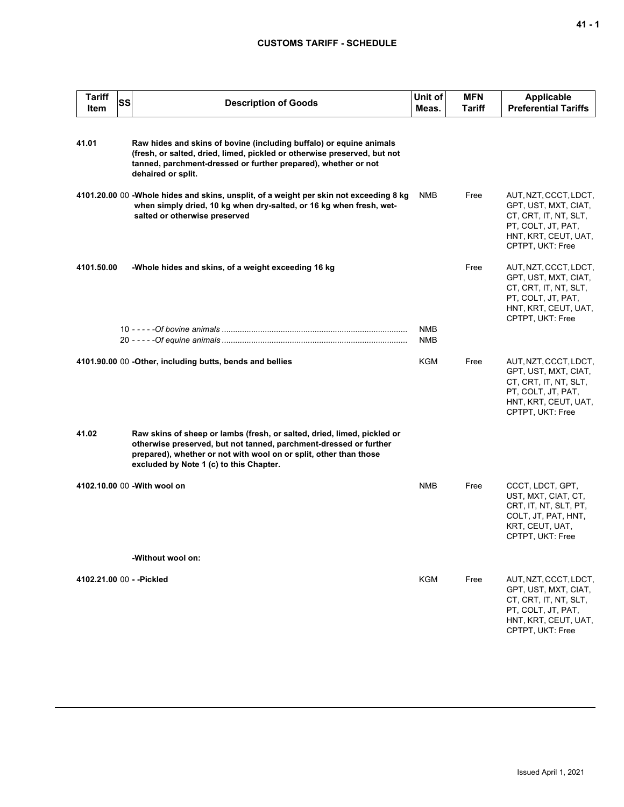## **CUSTOMS TARIFF - SCHEDULE**

| <b>Tariff</b><br>Item     | <b>SS</b> | <b>Description of Goods</b>                                                                                                                                                                                                                                  | Unit of<br>Meas.  | <b>MFN</b><br>Tariff | <b>Applicable</b><br><b>Preferential Tariffs</b>                                                                                         |
|---------------------------|-----------|--------------------------------------------------------------------------------------------------------------------------------------------------------------------------------------------------------------------------------------------------------------|-------------------|----------------------|------------------------------------------------------------------------------------------------------------------------------------------|
| 41.01                     |           | Raw hides and skins of bovine (including buffalo) or equine animals<br>(fresh, or salted, dried, limed, pickled or otherwise preserved, but not<br>tanned, parchment-dressed or further prepared), whether or not<br>dehaired or split.                      |                   |                      |                                                                                                                                          |
|                           |           | 4101.20.00 00 -Whole hides and skins, unsplit, of a weight per skin not exceeding 8 kg<br>when simply dried, 10 kg when dry-salted, or 16 kg when fresh, wet-<br>salted or otherwise preserved                                                               | <b>NMB</b>        | Free                 | AUT, NZT, CCCT, LDCT,<br>GPT, UST, MXT, CIAT,<br>CT, CRT, IT, NT, SLT,<br>PT, COLT, JT, PAT,<br>HNT, KRT, CEUT, UAT,<br>CPTPT, UKT: Free |
| 4101.50.00                |           | -Whole hides and skins, of a weight exceeding 16 kg                                                                                                                                                                                                          |                   | Free                 | AUT, NZT, CCCT, LDCT,<br>GPT, UST, MXT, CIAT,<br>CT, CRT, IT, NT, SLT,<br>PT, COLT, JT, PAT,<br>HNT, KRT, CEUT, UAT,<br>CPTPT, UKT: Free |
|                           |           |                                                                                                                                                                                                                                                              | <b>NMB</b><br>NMB |                      |                                                                                                                                          |
|                           |           | 4101.90.00 00 - Other, including butts, bends and bellies                                                                                                                                                                                                    | <b>KGM</b>        | Free                 | AUT, NZT, CCCT, LDCT,<br>GPT, UST, MXT, CIAT,<br>CT, CRT, IT, NT, SLT,<br>PT, COLT, JT, PAT,<br>HNT, KRT, CEUT, UAT,<br>CPTPT, UKT: Free |
| 41.02                     |           | Raw skins of sheep or lambs (fresh, or salted, dried, limed, pickled or<br>otherwise preserved, but not tanned, parchment-dressed or further<br>prepared), whether or not with wool on or split, other than those<br>excluded by Note 1 (c) to this Chapter. |                   |                      |                                                                                                                                          |
|                           |           | 4102.10.00 00 - With wool on                                                                                                                                                                                                                                 | NMB               | Free                 | CCCT, LDCT, GPT,<br>UST, MXT, CIAT, CT,<br>CRT, IT, NT, SLT, PT,<br>COLT, JT, PAT, HNT,<br>KRT, CEUT, UAT,<br>CPTPT, UKT: Free           |
|                           |           | -Without wool on:                                                                                                                                                                                                                                            |                   |                      |                                                                                                                                          |
| 4102.21.00 00 - - Pickled |           |                                                                                                                                                                                                                                                              | KGM               | Free                 | AUT, NZT, CCCT, LDCT,<br>GPT, UST, MXT, CIAT,<br>CT, CRT, IT, NT, SLT,<br>PT, COLT, JT, PAT,<br>HNT, KRT, CEUT, UAT,<br>CPTPT, UKT: Free |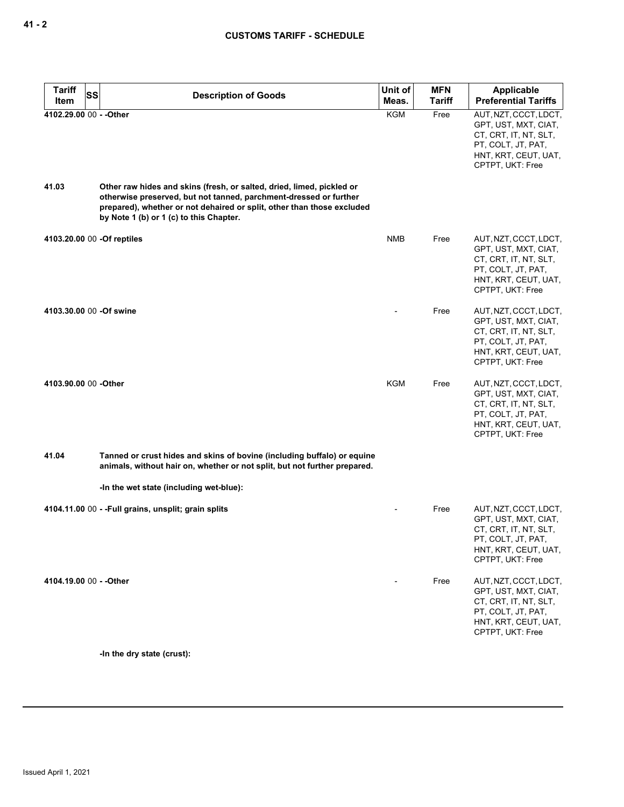| <b>Tariff</b><br><b>SS</b>  | <b>Description of Goods</b>                                                                                                                                                                                                                                     | Unit of    | <b>MFN</b>    | Applicable                                                                                                                               |
|-----------------------------|-----------------------------------------------------------------------------------------------------------------------------------------------------------------------------------------------------------------------------------------------------------------|------------|---------------|------------------------------------------------------------------------------------------------------------------------------------------|
| Item                        |                                                                                                                                                                                                                                                                 | Meas.      | <b>Tariff</b> | <b>Preferential Tariffs</b>                                                                                                              |
| 4102.29.00 00 - - Other     |                                                                                                                                                                                                                                                                 | <b>KGM</b> | Free          | AUT, NZT, CCCT, LDCT,<br>GPT, UST, MXT, CIAT,<br>CT, CRT, IT, NT, SLT,<br>PT, COLT, JT, PAT,<br>HNT, KRT, CEUT, UAT,<br>CPTPT, UKT: Free |
| 41.03                       | Other raw hides and skins (fresh, or salted, dried, limed, pickled or<br>otherwise preserved, but not tanned, parchment-dressed or further<br>prepared), whether or not dehaired or split, other than those excluded<br>by Note 1 (b) or 1 (c) to this Chapter. |            |               |                                                                                                                                          |
| 4103.20.00 00 - Of reptiles |                                                                                                                                                                                                                                                                 | <b>NMB</b> | Free          | AUT, NZT, CCCT, LDCT,<br>GPT, UST, MXT, CIAT,<br>CT, CRT, IT, NT, SLT,<br>PT, COLT, JT, PAT,<br>HNT, KRT, CEUT, UAT,<br>CPTPT, UKT: Free |
| 4103.30.00 00 -Of swine     |                                                                                                                                                                                                                                                                 |            | Free          | AUT, NZT, CCCT, LDCT,<br>GPT, UST, MXT, CIAT,<br>CT, CRT, IT, NT, SLT,<br>PT, COLT, JT, PAT,<br>HNT, KRT, CEUT, UAT,<br>CPTPT, UKT: Free |
| 4103.90.00 00 -Other        |                                                                                                                                                                                                                                                                 | KGM        | Free          | AUT, NZT, CCCT, LDCT,<br>GPT, UST, MXT, CIAT,<br>CT, CRT, IT, NT, SLT,<br>PT, COLT, JT, PAT,<br>HNT, KRT, CEUT, UAT,<br>CPTPT, UKT: Free |
| 41.04                       | Tanned or crust hides and skins of bovine (including buffalo) or equine<br>animals, without hair on, whether or not split, but not further prepared.                                                                                                            |            |               |                                                                                                                                          |
|                             | -In the wet state (including wet-blue):                                                                                                                                                                                                                         |            |               |                                                                                                                                          |
|                             | 4104.11.00 00 - - Full grains, unsplit; grain splits                                                                                                                                                                                                            |            | Free          | AUT, NZT, CCCT, LDCT,<br>GPT, UST, MXT, CIAT,<br>CT, CRT, IT, NT, SLT,<br>PT, COLT, JT, PAT,<br>HNT, KRT, CEUT, UAT,<br>CPTPT, UKT: Free |
| 4104.19.00 00 - - Other     |                                                                                                                                                                                                                                                                 |            | Free          | AUT, NZT, CCCT, LDCT,<br>GPT, UST, MXT, CIAT,<br>CT, CRT, IT, NT, SLT,<br>PT, COLT, JT, PAT,<br>HNT, KRT, CEUT, UAT,<br>CPTPT, UKT: Free |
|                             | -In the dry state (crust):                                                                                                                                                                                                                                      |            |               |                                                                                                                                          |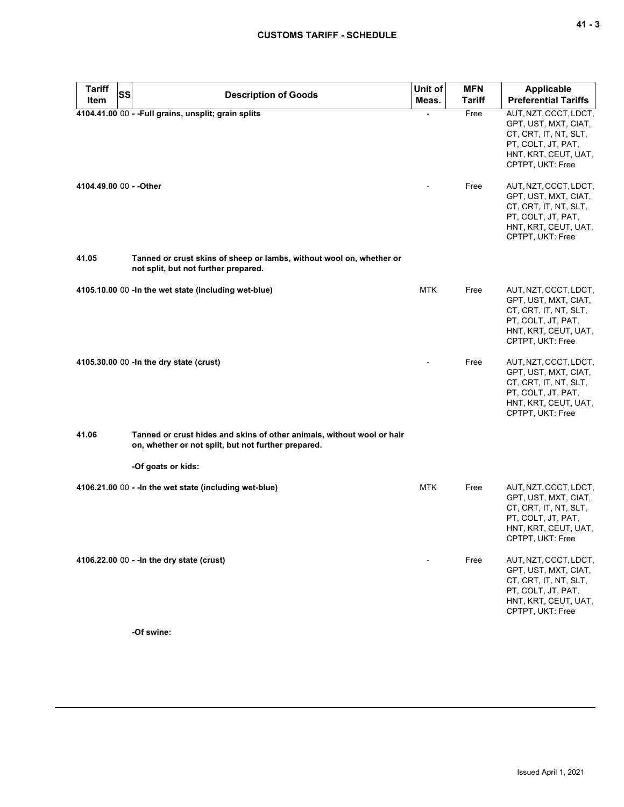| <b>Tariff</b><br><b>SS</b> | <b>Description of Goods</b>                                                                                                   | Unit of    | <b>MFN</b>    | <b>Applicable</b>                                                                                                                                                 |
|----------------------------|-------------------------------------------------------------------------------------------------------------------------------|------------|---------------|-------------------------------------------------------------------------------------------------------------------------------------------------------------------|
| <b>Item</b>                |                                                                                                                               | Meas.      | <b>Tariff</b> | <b>Preferential Tariffs</b>                                                                                                                                       |
| 4104.49.00 00 - - Other    | 4104.41.00 00 - - Full grains, unsplit; grain splits                                                                          |            | Free<br>Free  | AUT, NZT, CCCT, LDCT,<br>GPT, UST, MXT, CIAT,<br>CT, CRT, IT, NT, SLT,<br>PT, COLT, JT, PAT,<br>HNT, KRT, CEUT, UAT,<br>CPTPT, UKT: Free<br>AUT, NZT, CCCT, LDCT, |
|                            |                                                                                                                               |            |               | GPT, UST, MXT, CIAT,<br>CT, CRT, IT, NT, SLT,<br>PT, COLT, JT, PAT,<br>HNT, KRT, CEUT, UAT,<br>CPTPT, UKT: Free                                                   |
| 41.05                      | Tanned or crust skins of sheep or lambs, without wool on, whether or<br>not split, but not further prepared.                  |            |               |                                                                                                                                                                   |
|                            | 4105.10.00 00 - In the wet state (including wet-blue)                                                                         | <b>MTK</b> | Free          | AUT, NZT, CCCT, LDCT,<br>GPT, UST, MXT, CIAT,<br>CT, CRT, IT, NT, SLT,<br>PT, COLT, JT, PAT,<br>HNT, KRT, CEUT, UAT,<br>CPTPT, UKT: Free                          |
|                            | 4105.30.00 00 - In the dry state (crust)                                                                                      |            | Free          | AUT, NZT, CCCT, LDCT,<br>GPT, UST, MXT, CIAT,<br>CT, CRT, IT, NT, SLT,<br>PT, COLT, JT, PAT,<br>HNT, KRT, CEUT, UAT,<br>CPTPT, UKT: Free                          |
| 41.06                      | Tanned or crust hides and skins of other animals, without wool or hair<br>on, whether or not split, but not further prepared. |            |               |                                                                                                                                                                   |
|                            | -Of goats or kids:                                                                                                            |            |               |                                                                                                                                                                   |
|                            | 4106.21.00 00 - - In the wet state (including wet-blue)                                                                       | <b>MTK</b> | Free          | AUT, NZT, CCCT, LDCT,<br>GPT, UST, MXT, CIAT,<br>CT, CRT, IT, NT, SLT,<br>PT, COLT, JT, PAT,<br>HNT, KRT, CEUT, UAT,<br>CPTPT, UKT: Free                          |
|                            | 4106.22.00 00 - - In the dry state (crust)                                                                                    |            | Free          | AUT, NZT, CCCT, LDCT,<br>GPT, UST, MXT, CIAT,<br>CT, CRT, IT, NT, SLT,<br>PT, COLT, JT, PAT,<br>HNT, KRT, CEUT, UAT,<br>CPTPT, UKT: Free                          |

**-Of swine:**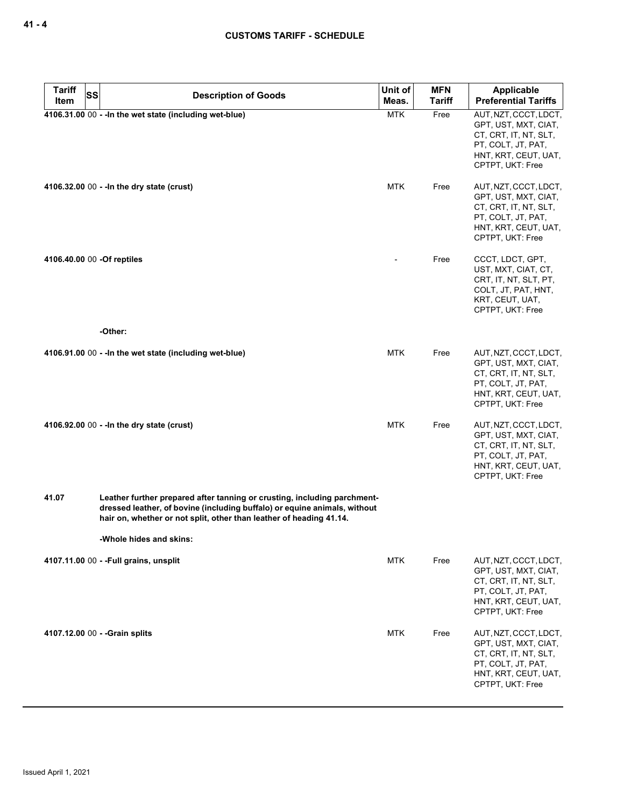| <b>Tariff</b><br><b>SS</b> | <b>Description of Goods</b>                                                                                                                                                                                                  | Unit of    | <b>MFN</b>    | Applicable                                                                                                                               |
|----------------------------|------------------------------------------------------------------------------------------------------------------------------------------------------------------------------------------------------------------------------|------------|---------------|------------------------------------------------------------------------------------------------------------------------------------------|
| Item                       |                                                                                                                                                                                                                              | Meas.      | <b>Tariff</b> | <b>Preferential Tariffs</b>                                                                                                              |
|                            | 4106.31.00 00 - - In the wet state (including wet-blue)                                                                                                                                                                      | <b>MTK</b> | Free          | AUT, NZT, CCCT, LDCT,<br>GPT, UST, MXT, CIAT,<br>CT, CRT, IT, NT, SLT,<br>PT, COLT, JT, PAT,<br>HNT, KRT, CEUT, UAT,<br>CPTPT, UKT: Free |
|                            | 4106.32.00 00 - - In the dry state (crust)                                                                                                                                                                                   | <b>MTK</b> | Free          | AUT, NZT, CCCT, LDCT,<br>GPT, UST, MXT, CIAT,<br>CT, CRT, IT, NT, SLT,<br>PT, COLT, JT, PAT,<br>HNT, KRT, CEUT, UAT,<br>CPTPT, UKT: Free |
| 4106.40.00 00 -Of reptiles |                                                                                                                                                                                                                              |            | Free          | CCCT, LDCT, GPT,<br>UST, MXT, CIAT, CT,<br>CRT, IT, NT, SLT, PT,<br>COLT, JT, PAT, HNT,<br>KRT, CEUT, UAT,<br>CPTPT, UKT: Free           |
|                            | -Other:                                                                                                                                                                                                                      |            |               |                                                                                                                                          |
|                            | 4106.91.00 00 - - In the wet state (including wet-blue)                                                                                                                                                                      | <b>MTK</b> | Free          | AUT, NZT, CCCT, LDCT,<br>GPT, UST, MXT, CIAT,<br>CT, CRT, IT, NT, SLT,<br>PT, COLT, JT, PAT,<br>HNT, KRT, CEUT, UAT,<br>CPTPT, UKT: Free |
|                            | 4106.92.00 00 - - In the dry state (crust)                                                                                                                                                                                   | <b>MTK</b> | Free          | AUT, NZT, CCCT, LDCT,<br>GPT, UST, MXT, CIAT,<br>CT, CRT, IT, NT, SLT,<br>PT, COLT, JT, PAT,<br>HNT, KRT, CEUT, UAT,<br>CPTPT, UKT: Free |
| 41.07                      | Leather further prepared after tanning or crusting, including parchment-<br>dressed leather, of bovine (including buffalo) or equine animals, without<br>hair on, whether or not split, other than leather of heading 41.14. |            |               |                                                                                                                                          |
|                            | -Whole hides and skins:                                                                                                                                                                                                      |            |               |                                                                                                                                          |
|                            | 4107.11.00 00 - - Full grains, unsplit                                                                                                                                                                                       | <b>MTK</b> | Free          | AUT, NZT, CCCT, LDCT,<br>GPT, UST, MXT, CIAT,<br>CT, CRT, IT, NT, SLT,<br>PT, COLT, JT, PAT,<br>HNT, KRT, CEUT, UAT,<br>CPTPT, UKT: Free |
|                            | 4107.12.00 00 - - Grain splits                                                                                                                                                                                               | <b>MTK</b> | Free          | AUT, NZT, CCCT, LDCT,<br>GPT, UST, MXT, CIAT,<br>CT, CRT, IT, NT, SLT,<br>PT, COLT, JT, PAT,<br>HNT, KRT, CEUT, UAT,<br>CPTPT, UKT: Free |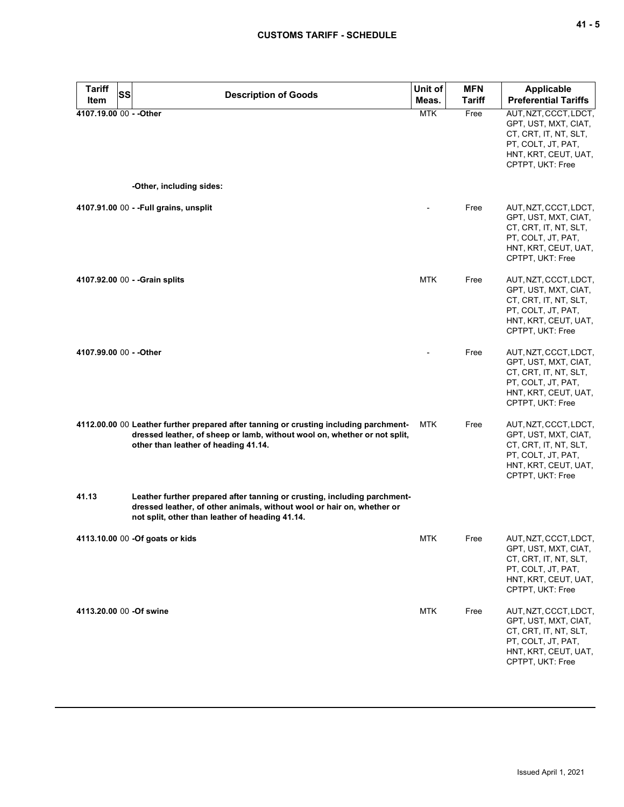| <b>Tariff</b><br><b>SS</b> | <b>Description of Goods</b>                                                                                                                                                                                | Unit of    | <b>MFN</b>    | Applicable                                                                                                                               |
|----------------------------|------------------------------------------------------------------------------------------------------------------------------------------------------------------------------------------------------------|------------|---------------|------------------------------------------------------------------------------------------------------------------------------------------|
| Item                       |                                                                                                                                                                                                            | Meas.      | <b>Tariff</b> | <b>Preferential Tariffs</b>                                                                                                              |
| 4107.19.00 00 - - Other    | -Other, including sides:                                                                                                                                                                                   | <b>MTK</b> | Free          | AUT, NZT, CCCT, LDCT,<br>GPT, UST, MXT, CIAT,<br>CT, CRT, IT, NT, SLT,<br>PT, COLT, JT, PAT,<br>HNT, KRT, CEUT, UAT,<br>CPTPT, UKT: Free |
|                            |                                                                                                                                                                                                            |            |               |                                                                                                                                          |
|                            | 4107.91.00 00 - - Full grains, unsplit                                                                                                                                                                     |            | Free          | AUT, NZT, CCCT, LDCT,<br>GPT, UST, MXT, CIAT,<br>CT, CRT, IT, NT, SLT,<br>PT, COLT, JT, PAT,<br>HNT, KRT, CEUT, UAT,<br>CPTPT, UKT: Free |
|                            | 4107.92.00 00 - - Grain splits                                                                                                                                                                             | <b>MTK</b> | Free          | AUT, NZT, CCCT, LDCT,<br>GPT, UST, MXT, CIAT,<br>CT, CRT, IT, NT, SLT,<br>PT, COLT, JT, PAT,<br>HNT, KRT, CEUT, UAT,<br>CPTPT, UKT: Free |
| 4107.99.00 00 - - Other    |                                                                                                                                                                                                            |            | Free          | AUT, NZT, CCCT, LDCT,<br>GPT, UST, MXT, CIAT,<br>CT, CRT, IT, NT, SLT,<br>PT, COLT, JT, PAT,<br>HNT, KRT, CEUT, UAT,<br>CPTPT, UKT: Free |
|                            | 4112.00.00 00 Leather further prepared after tanning or crusting including parchment-<br>dressed leather, of sheep or lamb, without wool on, whether or not split,<br>other than leather of heading 41.14. | <b>MTK</b> | Free          | AUT, NZT, CCCT, LDCT,<br>GPT, UST, MXT, CIAT,<br>CT, CRT, IT, NT, SLT,<br>PT, COLT, JT, PAT,<br>HNT, KRT, CEUT, UAT,<br>CPTPT, UKT: Free |
| 41.13                      | Leather further prepared after tanning or crusting, including parchment-<br>dressed leather, of other animals, without wool or hair on, whether or<br>not split, other than leather of heading 41.14.      |            |               |                                                                                                                                          |
|                            | 4113.10.00 00 -Of goats or kids                                                                                                                                                                            | MTK        | Free          | AUT, NZT, CCCT, LDCT,<br>GPT, UST, MXT, CIAT,<br>CT, CRT, IT, NT, SLT,<br>PT, COLT, JT, PAT,<br>HNT, KRT, CEUT, UAT,<br>CPTPT, UKT: Free |
| 4113.20.00 00 -Of swine    |                                                                                                                                                                                                            | <b>MTK</b> | Free          | AUT, NZT, CCCT, LDCT,<br>GPT, UST, MXT, CIAT,<br>CT, CRT, IT, NT, SLT,<br>PT, COLT, JT, PAT,<br>HNT, KRT, CEUT, UAT,<br>CPTPT, UKT: Free |